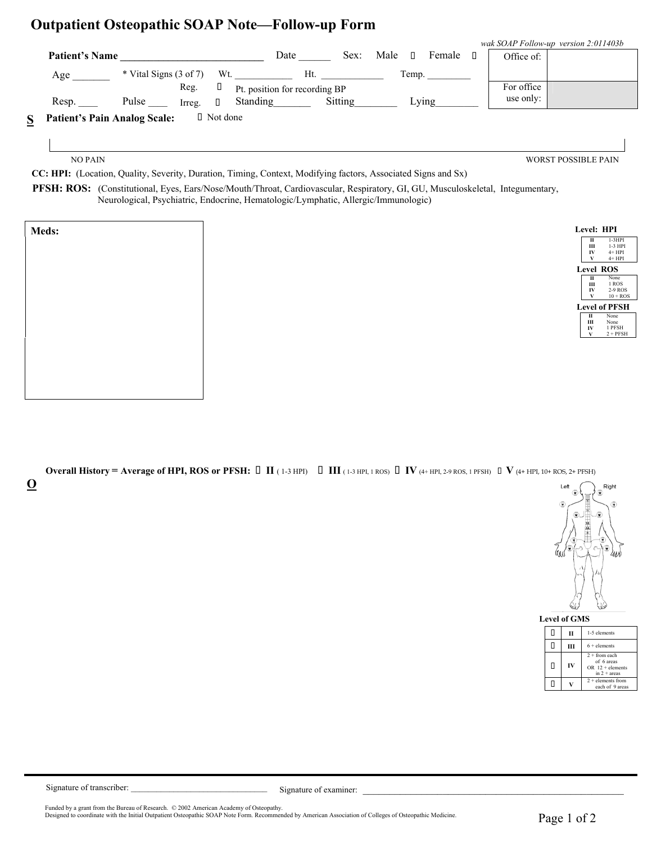## **Outpatient Osteopathic SOAP Note—Follow-up Form**

|                                                                                                                                                                                                                                                                                                                                  |                          |        |                               |                               |         |      |        |        |            | wak SOAP Follow-up version 2:011403b |
|----------------------------------------------------------------------------------------------------------------------------------------------------------------------------------------------------------------------------------------------------------------------------------------------------------------------------------|--------------------------|--------|-------------------------------|-------------------------------|---------|------|--------|--------|------------|--------------------------------------|
| <b>Patient's Name</b>                                                                                                                                                                                                                                                                                                            |                          |        |                               | Date                          | Sex:    | Male | $\Box$ | Female | Office of: |                                      |
| Age                                                                                                                                                                                                                                                                                                                              | $*$ Vital Signs (3 of 7) |        | Wt.                           | Ht                            |         |      | Temp.  |        |            |                                      |
|                                                                                                                                                                                                                                                                                                                                  |                          | Reg.   |                               | Pt. position for recording BP |         |      |        |        | For office |                                      |
| Resp.                                                                                                                                                                                                                                                                                                                            | Pulse                    | Irreg. | П.                            | <b>Standing</b>               | Sitting |      | Lvıng  |        | use only:  |                                      |
| $\alpha$ $\mathbf{D}$ $\mathbf{A}$ $\mathbf{D}$ $\mathbf{D}$ $\mathbf{D}$ $\mathbf{A}$ $\mathbf{A}$ $\mathbf{A}$ $\mathbf{D}$ $\mathbf{D}$ $\mathbf{D}$ $\mathbf{A}$ $\mathbf{D}$ $\mathbf{D}$ $\mathbf{D}$ $\mathbf{D}$ $\mathbf{D}$ $\mathbf{D}$ $\mathbf{D}$ $\mathbf{D}$ $\mathbf{D}$ $\mathbf{D}$ $\mathbf{D}$ $\mathbf{D}$ |                          |        | $\Box$ M <sub>ot</sub> $\Box$ |                               |         |      |        |        |            |                                      |

**S Patient's Pain Analog Scale:** I Not done

NO PAIN WORST POSSIBLE PAIN

 **CC: HPI:** (Location, Quality, Severity, Duration, Timing, Context, Modifying factors, Associated Signs and Sx)

 **PFSH: ROS:** (Constitutional, Eyes, Ears/Nose/Mouth/Throat, Cardiovascular, Respiratory, GI, GU, Musculoskeletal, Integumentary, Neurological, Psychiatric, Endocrine, Hematologic/Lymphatic, Allergic/Immunologic)

| Level: HPI   |                      |
|--------------|----------------------|
| П            | 1-3HPI               |
| Ш            | 1-3 HPI              |
| IV           | $4+HPI$              |
| $\mathbf{v}$ | $4+HPI$              |
|              | Level ROS            |
| П            | None                 |
| Ш            | 1 ROS                |
| IV           | 2-9 ROS              |
|              | $10 + ROS$           |
|              | <b>Level of PFSH</b> |
| П            | None                 |
| Ш            | None                 |
| IV           | 1 PFSH               |
| V            | $2 + PFSH$           |
|              |                      |

**Overall History = Average of HPI, ROS or PFSH: II** ( 1-3 HPI) **III** ( 1-3 HPI, 1 ROS) **IV** (4+ HPI, 2-9 ROS, 1 PFSH) **V** (4+ HPI, 10+ ROS, 2+ PFSH) **O**



| <b>Level of GMS</b> |    |                                                                         |  |  |  |  |  |  |  |  |  |  |
|---------------------|----|-------------------------------------------------------------------------|--|--|--|--|--|--|--|--|--|--|
| П                   |    | 1-5 elements                                                            |  |  |  |  |  |  |  |  |  |  |
| П                   |    | $6 +$ elements                                                          |  |  |  |  |  |  |  |  |  |  |
| П                   | IV | $2 +$ from each<br>of 6 areas<br>$OR$ 12 + elements<br>in $2 + \arccos$ |  |  |  |  |  |  |  |  |  |  |
|                     |    | $2 +$ elements from<br>each of 9 areas                                  |  |  |  |  |  |  |  |  |  |  |

l

Signature of transcriber: \_\_\_\_\_\_\_\_\_\_\_\_\_\_\_\_\_\_\_\_\_\_\_\_\_\_\_\_\_\_\_\_ Signature of examiner: \_\_\_\_\_\_\_\_\_\_\_\_\_\_\_\_\_\_\_\_\_\_\_\_\_\_\_\_\_\_\_\_\_\_\_\_\_\_\_\_\_\_\_\_\_\_\_\_\_

Funded by a grant from the Bureau of Research. © 2002 American Academy of Osteopathy.<br>Designed to coordinate with the Initial Outpatient Osteopathic SOAP Note Form. Recommended by American Association of Colleges of Osteo